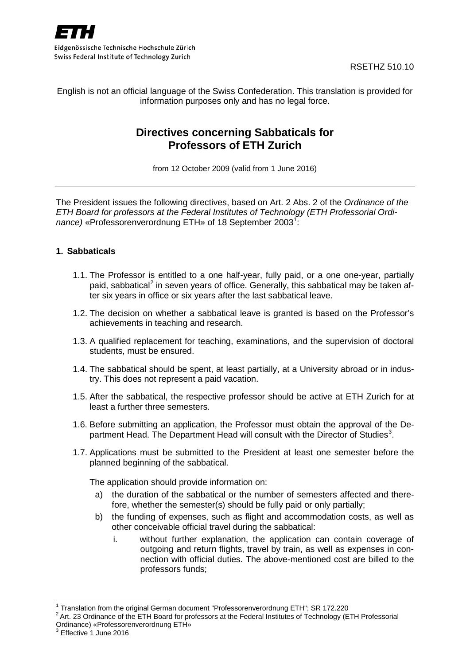

RSETHZ 510.10

English is not an official language of the Swiss Confederation. This translation is provided for information purposes only and has no legal force.

# **Directives concerning Sabbaticals for Professors of ETH Zurich**

from 12 October 2009 (valid from 1 June 2016)

The President issues the following directives, based on Art. 2 Abs. 2 of the *Ordinance of the ETH Board for professors at the Federal Institutes of Technology (ETH Professorial Ordi-*nance) «Professorenverordnung ETH» of [1](#page-0-0)8 September 2003<sup>1</sup>:

### **1. Sabbaticals**

- 1.1. The Professor is entitled to a one half-year, fully paid, or a one one-year, partially paid, sabbatical<sup>[2](#page-0-1)</sup> in seven years of office. Generally, this sabbatical may be taken after six years in office or six years after the last sabbatical leave.
- 1.2. The decision on whether a sabbatical leave is granted is based on the Professor's achievements in teaching and research.
- 1.3. A qualified replacement for teaching, examinations, and the supervision of doctoral students, must be ensured.
- 1.4. The sabbatical should be spent, at least partially, at a University abroad or in industry. This does not represent a paid vacation.
- 1.5. After the sabbatical, the respective professor should be active at ETH Zurich for at least a further three semesters.
- 1.6. Before submitting an application, the Professor must obtain the approval of the De-partment Head. The Department Head will consult with the Director of Studies<sup>[3](#page-0-2)</sup>.
- 1.7. Applications must be submitted to the President at least one semester before the planned beginning of the sabbatical.

The application should provide information on:

- a) the duration of the sabbatical or the number of semesters affected and therefore, whether the semester(s) should be fully paid or only partially;
- b) the funding of expenses, such as flight and accommodation costs, as well as other conceivable official travel during the sabbatical:
	- i. without further explanation, the application can contain coverage of outgoing and return flights, travel by train, as well as expenses in connection with official duties. The above-mentioned cost are billed to the professors funds;

<span id="page-0-2"></span> $3$  Effective 1 June 2016

<span id="page-0-1"></span><span id="page-0-0"></span>

<sup>&</sup>lt;sup>1</sup> Translation from the original German document "Professorenverordnung ETH"; SR 172.220<br><sup>2</sup> Art. 23 Ordinance of the ETH Board for professors at the Federal Institutes of Technology (ETH Professorial Ordinance) «Professorenverordnung ETH»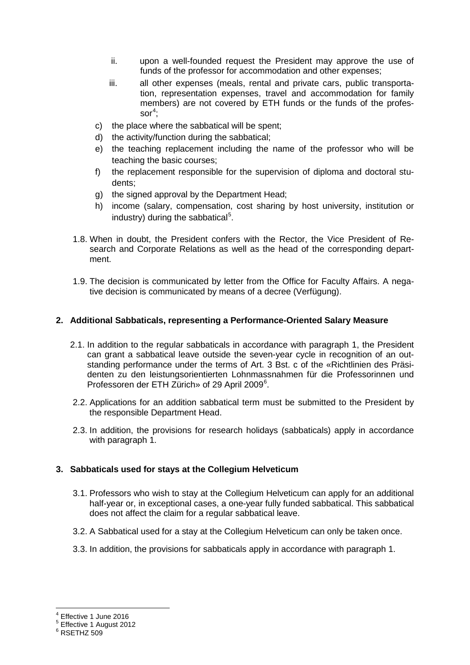- ii. upon a well-founded request the President may approve the use of funds of the professor for accommodation and other expenses;
- iii. all other expenses (meals, rental and private cars, public transportation, representation expenses, travel and accommodation for family members) are not covered by ETH funds or the funds of the profes- $\mathsf{sor}^4;$  $\mathsf{sor}^4;$  $\mathsf{sor}^4;$
- c) the place where the sabbatical will be spent;
- d) the activity/function during the sabbatical;
- e) the teaching replacement including the name of the professor who will be teaching the basic courses;
- f) the replacement responsible for the supervision of diploma and doctoral students;
- g) the signed approval by the Department Head;
- h) income (salary, compensation, cost sharing by host university, institution or industry) during the sabbatical<sup>[5](#page-1-1)</sup>.
- 1.8. When in doubt, the President confers with the Rector, the Vice President of Research and Corporate Relations as well as the head of the corresponding department.
- 1.9. The decision is communicated by letter from the Office for Faculty Affairs. A negative decision is communicated by means of a decree (Verfügung).

## **2. Additional Sabbaticals, representing a Performance-Oriented Salary Measure**

- 2.1. In addition to the regular sabbaticals in accordance with paragraph 1, the President can grant a sabbatical leave outside the seven-year cycle in recognition of an outstanding performance under the terms of Art. 3 Bst. c of the «Richtlinien des Präsidenten zu den leistungsorientierten Lohnmassnahmen für die Professorinnen und Professoren der ETH Zürich» of 29 April 2009<sup>[6](#page-1-2)</sup>.
- 2.2. Applications for an addition sabbatical term must be submitted to the President by the responsible Department Head.
- 2.3. In addition, the provisions for research holidays (sabbaticals) apply in accordance with paragraph 1.

# **3. Sabbaticals used for stays at the Collegium Helveticum**

- 3.1. Professors who wish to stay at the Collegium Helveticum can apply for an additional half-year or, in exceptional cases, a one-year fully funded sabbatical. This sabbatical does not affect the claim for a regular sabbatical leave.
- 3.2. A Sabbatical used for a stay at the Collegium Helveticum can only be taken once.
- 3.3. In addition, the provisions for sabbaticals apply in accordance with paragraph 1.

<span id="page-1-1"></span><span id="page-1-0"></span> $<sup>4</sup>$  Effective 1 June 2016<br> $<sup>5</sup>$  Effective 1 August 2012<br> $<sup>6</sup>$  RSETHZ 509</sup></sup></sup>

<span id="page-1-2"></span>